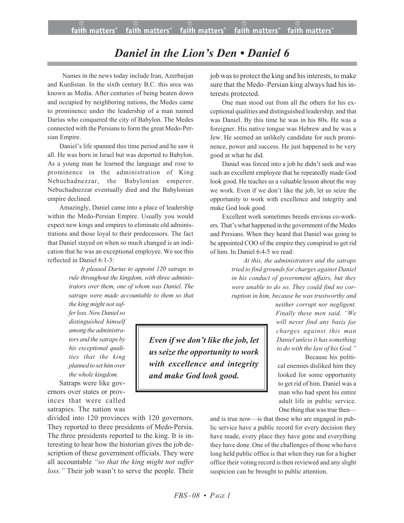## *Daniel in the Lion's Den • Daniel 6*

 Names in the news today include Iran, Azerbaijan and Kurdistan. In the sixth century B.C. this area was known as Media. After centuries of being beaten down and occupied by neighboring nations, the Medes came to prominence under the leadership of a man named Darius who conquered the city of Babylon. The Medes connected with the Persians to form the great Medo-Persian Empire.

Daniel's life spanned this time period and he saw it all. He was born in Israel but was deported to Babylon. As a young man he learned the language and rose to prominence in the administration of King Nebuchadnezzar, the Babylonian emperor. Nebuchadnezzar eventually died and the Babylonian empire declined.

Amazingly, Daniel came into a place of leadership within the Medo-Persian Empire. Usually you would expect new kings and empires to eliminate old administrations and those loyal to their predecessors. The fact that Daniel stayed on when so much changed is an indication that he was an exceptional employee. We see this reflected in Daniel 6:1-3:

> *It pleased Darius to appoint 120 satraps to rule throughout the kingdom, with three administrators over them, one of whom was Daniel. The satraps were made accountable to them so that*

*the king might not suffer loss. Now Daniel so distinguished himself among the administrators and the satraps by his exceptional qualities that the king planned to set him over the whole kingdom.*

Satraps were like governors over states or provinces that were called satrapies. The nation was

divided into 120 provinces with 120 governors. They reported to three presidents of Medo-Persia. The three presidents reported to the king. It is interesting to hear how the historian gives the job description of these government officials. They were all accountable *"so that the king might not suffer loss."* Their job wasn't to serve the people. Their job was to protect the king and his interests, to make sure that the Medo–Persian king always had his interests protected.

One man stood out from all the others for his exceptional qualities and distinguished leadership, and that was Daniel. By this time he was in his 80s. He was a foreigner. His native tongue was Hebrew and he was a Jew. He seemed an unlikely candidate for such prominence, power and success. He just happened to be very good at what he did.

Daniel was forced into a job he didn't seek and was such an excellent employee that he repeatedly made God look good. He teaches us a valuable lesson about the way we work. Even if we don't like the job, let us seize the opportunity to work with excellence and integrity and make God look good.

Excellent work sometimes breeds envious co-workers. That's what happened in the government of the Medes and Persians. When they heard that Daniel was going to be appointed COO of the empire they conspired to get rid of him. In Daniel 6:4-5 we read:

> *At this, the administrators and the satraps tried to find grounds for charges against Daniel in his conduct of government affairs, but they were unable to do so. They could find no corruption in him, because he was trustworthy and*

> > *neither corrupt nor negligent. Finally these men said, "We will never find any basis for charges against this man Daniel unless it has something to do with the law of his God."*

Because his political enemies disliked him they looked for some opportunity to get rid of him. Daniel was a man who had spent his entire adult life in public service. One thing that was true then—

and is true now—is that those who are engaged in public service have a public record for every decision they have made, every place they have gone and everything they have done. One of the challenges of those who have long held public office is that when they run for a higher office their voting record is then reviewed and any slight suspicion can be brought to public attention.

*Even if we don't like the job, let us seize the opportunity to work with excellence and integrity and make God look good.*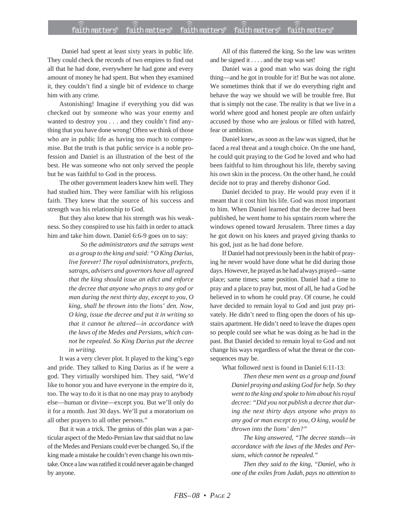## $\widehat{\widehat{\pi}}$  faith  $\widehat{\widehat{\pi}}$  faith matters $\widehat{\widehat{\pi}}$  faith  $\widehat{\widehat{\pi}}$  faith matters $\widehat{\widehat{\pi}}$ ))) faith matters<sup>®</sup> ))) )))

 Daniel had spent at least sixty years in public life. They could check the records of two empires to find out all that he had done, everywhere he had gone and every amount of money he had spent. But when they examined it, they couldn't find a single bit of evidence to charge him with any crime.

Astonishing! Imagine if everything you did was checked out by someone who was your enemy and wanted to destroy you . . . and they couldn't find anything that you have done wrong! Often we think of those who are in public life as having too much to compromise. But the truth is that public service is a noble profession and Daniel is an illustration of the best of the best. He was someone who not only served the people but he was faithful to God in the process.

The other government leaders knew him well. They had studied him. They were familiar with his religious faith. They knew that the source of his success and strength was his relationship to God.

But they also knew that his strength was his weakness. So they conspired to use his faith in order to attack him and take him down. Daniel 6:6-9 goes on to say:

> *So the administrators and the satraps went as a group to the king and said: "O King Darius, live forever! The royal administrators, prefects, satraps, advisers and governors have all agreed that the king should issue an edict and enforce the decree that anyone who prays to any god or man during the next thirty day, except to you, O king, shall be thrown into the lions' den. Now, O king, issue the decree and put it in writing so that it cannot be altered—in accordance with the laws of the Medes and Persians, which cannot be repealed. So King Darius put the decree in writing.*

It was a very clever plot. It played to the king's ego and pride. They talked to King Darius as if he were a god. They virtually worshiped him. They said, "We'd like to honor you and have everyone in the empire do it, too. The way to do it is that no one may pray to anybody else—human or divine—except you. But we'll only do it for a month. Just 30 days. We'll put a moratorium on all other prayers to all other persons."

But it was a trick. The genius of this plan was a particular aspect of the Medo-Persian law that said that no law of the Medes and Persians could ever be changed. So, if the king made a mistake he couldn't even change his own mistake. Once a law was ratified it could never again be changed by anyone.

All of this flattered the king. So the law was written and he signed it . . . . and the trap was set!

Daniel was a good man who was doing the right thing—and he got in trouble for it! But he was not alone. We sometimes think that if we do everything right and behave the way we should we will be trouble free. But that is simply not the case. The reality is that we live in a world where good and honest people are often unfairly accused by those who are jealous or filled with hatred, fear or ambition.

Daniel knew, as soon as the law was signed, that he faced a real threat and a tough choice. On the one hand, he could quit praying to the God he loved and who had been faithful to him throughout his life, thereby saving his own skin in the process. On the other hand, he could decide not to pray and thereby dishonor God.

Daniel decided to pray. He would pray even if it meant that it cost him his life. God was most important to him. When Daniel learned that the decree had been published, he went home to his upstairs room where the windows opened toward Jerusalem. Three times a day he got down on his knees and prayed giving thanks to his god, just as he had done before.

If Daniel had not previously been in the habit of praying he never would have done what he did during those days. However, he prayed as he had always prayed—same place; same times; same position. Daniel had a time to pray and a place to pray but, most of all, he had a God he believed in to whom he could pray. Of course, he could have decided to remain loyal to God and just pray privately. He didn't need to fling open the doors of his upstairs apartment. He didn't need to leave the drapes open so people could see what he was doing as he had in the past. But Daniel decided to remain loyal to God and not change his ways regardless of what the threat or the consequences may be.

What followed next is found in Daniel 6:11-13:

*Then these men went as a group and found Daniel praying and asking God for help. So they went to the king and spoke to him about his royal decree: "Did you not publish a decree that during the next thirty days anyone who prays to any god or man except to you, O king, would be thrown into the lions' den?"*

*The king answered, "The decree stands—in accordance with the laws of the Medes and Persians, which cannot be repealed."*

*Then they said to the king, "Daniel, who is one of the exiles from Judah, pays no attention to*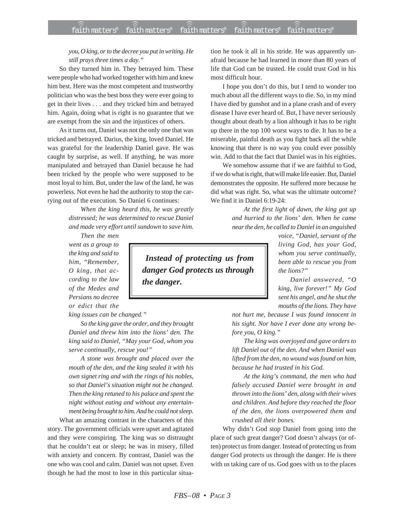## *you, O king, or to the decree you put in writing. He still prays three times a day."*

So they turned him in. They betrayed him. These were people who had worked together with him and knew him best. Here was the most competent and trustworthy politician who was the best boss they were ever going to get in their lives . . . and they tricked him and betrayed him. Again, doing what is right is no guarantee that we are exempt from the sin and the injustices of others.

As it turns out, Daniel was not the only one that was tricked and betrayed. Darius, the king, loved Daniel. He was grateful for the leadership Daniel gave. He was caught by surprise, as well. If anything, he was more manipulated and betrayed than Daniel because he had been tricked by the people who were supposed to be most loyal to him. But, under the law of the land, he was powerless. Not even he had the authority to stop the carrying out of the execution. So Daniel 6 continues:

> *When the king heard this, he was greatly distressed; he was determined to rescue Daniel and made very effort until sundown to save him.*

*Then the men went as a group to the king and said to him, "Remember, O king, that according to the law of the Medes and Persians no decree or edict that the*

*king issues can be changed."*

*So the king gave the order, and they brought Daniel and threw him into the lions' den. The king said to Daniel, "May your God, whom you serve continually, rescue you!"*

*A stone was brought and placed over the mouth of the den, and the king sealed it with his own signet ring and with the rings of his nobles, so that Daniel's situation might not be changed. Then the king retuned to his palace and spent the night without eating and without any entertainment being brought to him. And he could not sleep.*

What an amazing contrast in the characters of this story. The government officials were upset and agitated and they were conspiring. The king was so distraught that he couldn't eat or sleep; he was in misery, filled with anxiety and concern. By contrast, Daniel was the one who was cool and calm. Daniel was not upset. Even though he had the most to lose in this particular situation he took it all in his stride. He was apparently unafraid because he had learned in more than 80 years of life that God can be trusted. He could trust God in his most difficult hour.

I hope you don't do this, but I tend to wonder too much about all the different ways to die. So, in my mind I have died by gunshot and in a plane crash and of every disease I have ever heard of. But, I have never seriously thought about death by a lion although it has to be right up there in the top 100 worst ways to die. It has to be a miserable, painful death as you fight back all the while knowing that there is no way you could ever possibly win. Add to that the fact that Daniel was in his eighties.

We somehow assume that if we are faithful to God, if we do what is right, that will make life easier. But, Daniel demonstrates the opposite. He suffered more because he did what was right. So, what was the ultimate outcome? We find it in Daniel 6:19-24:

> *At the first light of dawn, the king got up and hurried to the lions' den. When he came near the den, he called to Daniel in an anguished*

> > *voice, "Daniel, servant of the living God, has your God, whom you serve continually, been able to rescue you from the lions?"*

> > *Daniel answered, "O king, live forever!" My God sent his angel, and he shut the mouths of the lions. They have*

*not hurt me, because I was found innocent in his sight. Nor have I ever done any wrong before you, O king."*

*The king was overjoyed and gave orders to lift Daniel out of the den. And when Daniel was lifted from the den, no wound was found on him, because he had trusted in his God.*

*At the king's command, the men who had falsely accused Daniel were brought in and thrown into the lions' den, along with their wives and children. And before they reached the floor of the den, the lions overpowered them and crushed all their bones.*

Why didn't God stop Daniel from going into the place of such great danger? God doesn't always (or often) protect us from danger. Instead of protecting us from danger God protects us through the danger. He is there with us taking care of us. God goes with us to the places

*danger God protects us through the danger.*

 *Instead of protecting us from*